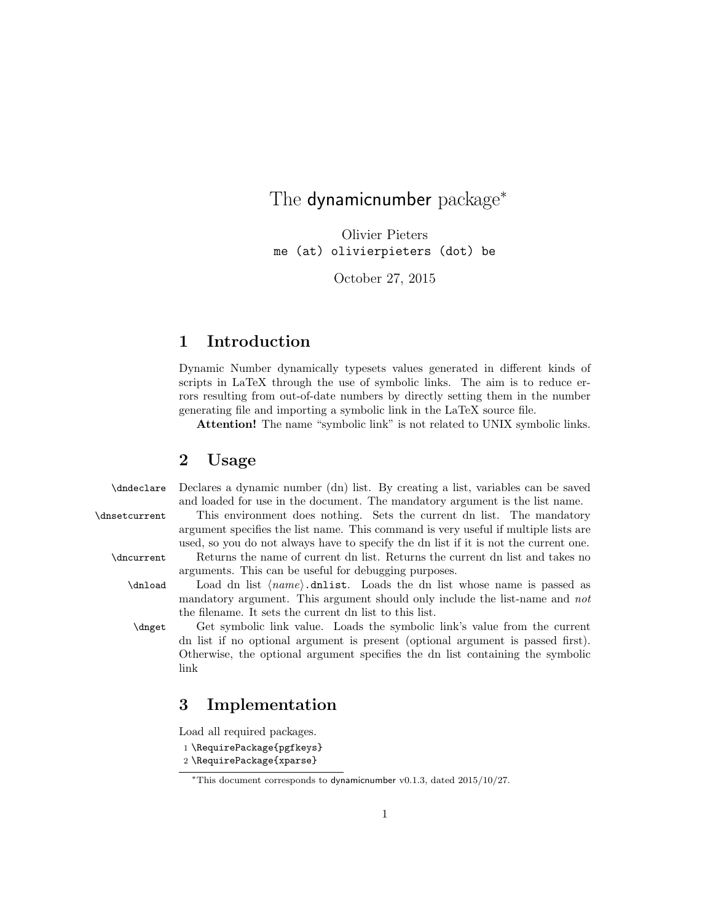# The dynamicnumber package<sup>\*</sup>

Olivier Pieters me (at) olivierpieters (dot) be

October 27, 2015

# 1 Introduction

Dynamic Number dynamically typesets values generated in different kinds of scripts in LaTeX through the use of symbolic links. The aim is to reduce errors resulting from out-of-date numbers by directly setting them in the number generating file and importing a symbolic link in the LaTeX source file.

Attention! The name "symbolic link" is not related to UNIX symbolic links.

### 2 Usage

\dndeclare Declares a dynamic number (dn) list. By creating a list, variables can be saved and loaded for use in the document. The mandatory argument is the list name.

\dnsetcurrent This environment does nothing. Sets the current dn list. The mandatory argument specifies the list name. This command is very useful if multiple lists are used, so you do not always have to specify the dn list if it is not the current one.

\dncurrent Returns the name of current dn list. Returns the current dn list and takes no arguments. This can be useful for debugging purposes.

 $\delta$  Load dn list  $\langle name \rangle$ .dnlist. Loads the dn list whose name is passed as mandatory argument. This argument should only include the list-name and not the filename. It sets the current dn list to this list.

\dnget Get symbolic link value. Loads the symbolic link's value from the current dn list if no optional argument is present (optional argument is passed first). Otherwise, the optional argument specifies the dn list containing the symbolic link

## 3 Implementation

Load all required packages.

- 1 \RequirePackage{pgfkeys}
- 2 \RequirePackage{xparse}

<sup>∗</sup>This document corresponds to dynamicnumber v0.1.3, dated 2015/10/27.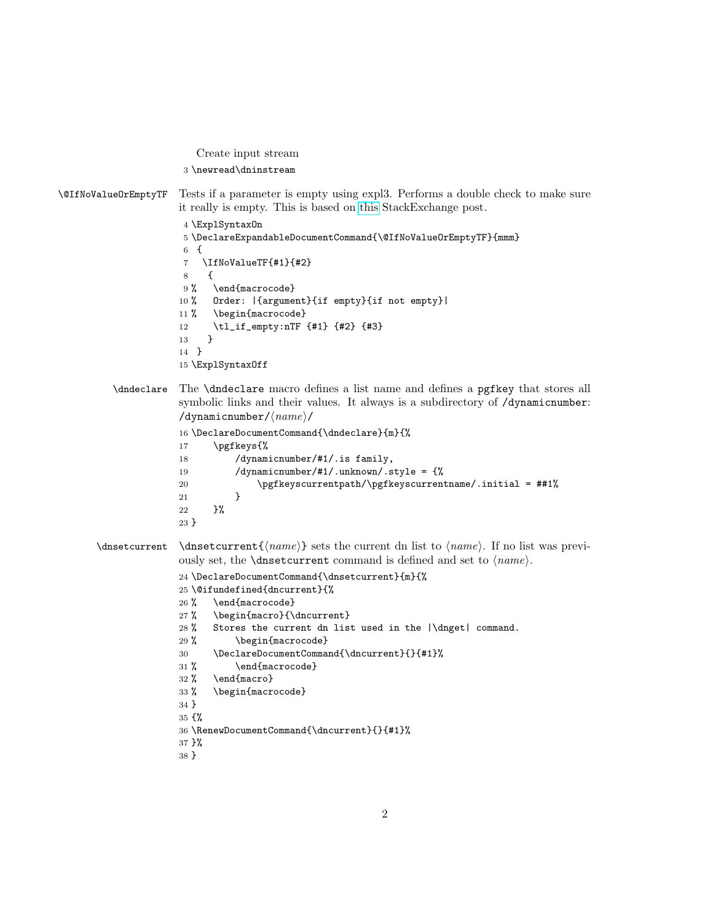```
Create input stream
3 \newread\dninstream
```
\@IfNoValueOrEmptyTF Tests if a parameter is empty using expl3. Performs a double check to make sure it really is empty. This is based on [this](http://tex.stackexchange.com/questions/63223/xparse-empty-arguments) StackExchange post.

```
4 \ExplSyntaxOn
5 \DeclareExpandableDocumentCommand{\@IfNoValueOrEmptyTF}{mmm}
6 {
7 \IfNoValueTF{#1}{#2}
8 {
9% \end{macrocode}
10 % Order: |{argument}{if empty}{if not empty}|
11 % \begin{macrocode}
12 \tl_if_empty:nTF {#1} {#2} {#3}13 }
14 }
15 \ExplSyntaxOff
```
\dndeclare The \dndeclare macro defines a list name and defines a pgfkey that stores all symbolic links and their values. It always is a subdirectory of /dynamicnumber: /dynamicnumber/ $\langle name \rangle$ /

```
16 \DeclareDocumentCommand{\dndeclare}{m}{%
17 \pgfkeys{%
18 /dynamicnumber/#1/.is family,
19 /dynamicnumber/#1/.unknown/.style = {%
20 \pgfkeyscurrentpath/\pgfkeyscurrentname/.initial = ##1%
21   }
22 }%
23 }
```

```
\dagger \langle \langle \rangle \ sets the current dn list to \langle \langle \rangle. If no list was previ-
                  ously set, the \dnsetcurrent command is defined and set to \langle name \rangle.
```

```
24 \DeclareDocumentCommand{\dnsetcurrent}{m}{%
25 \@ifundefined{dncurrent}{%
26 % \end{macrocode}
27 % \begin{macro}{\dncurrent}
28 % Stores the current dn list used in the |\dnget| command.
29 % \begin{macrocode}
30 \DeclareDocumentCommand{\dncurrent}{}{#1}%
31 % \end{macrocode}
32 % \end{macro}
33 % \begin{macrocode}
34 }
```

```
35 {%
```

```
36 \RenewDocumentCommand{\dncurrent}{}{#1}%
```

```
37 }%
```

```
38 }
```